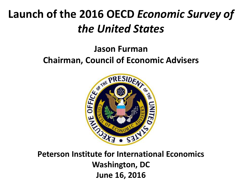# **Launch of the 2016 OECD** *Economic Survey of the United States*

# **Jason Furman Chairman, Council of Economic Advisers**



**Peterson Institute for International Economics Washington, DC June 16, 2016**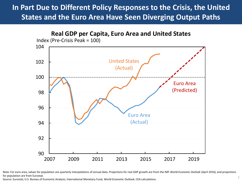### **In Part Due to Different Policy Responses to the Crisis, the United States and the Euro Area Have Seen Diverging Output Paths**



Note: For euro area, values for population are quarterly interpolations of annual data. Projections for real GDP growth are from the IMF *World Economic Outlook* (April 2016), and projections for population are from Eurostat.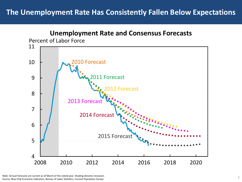#### **The Unemployment Rate Has Consistently Fallen Below Expectations**



Note: Annual forecasts are current as of March of the stated year. Shading denotes recession. Source: Blue Chip Economic Indicators; Bureau of Labor Statistics, Current Population Survey.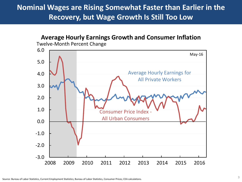### **Nominal Wages are Rising Somewhat Faster than Earlier in the Recovery, but Wage Growth Is Still Too Low**

### **Average Hourly Earnings Growth and Consumer Inflation**

Twelve-Month Percent Change

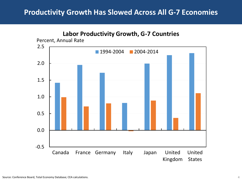#### **Productivity Growth Has Slowed Across All G-7 Economies**

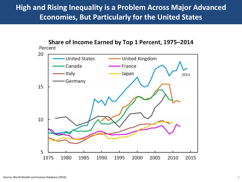### **High and Rising Inequality is a Problem Across Major Advanced Economies, But Particularly for the United States**

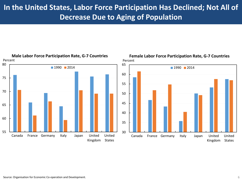### **In the United States, Labor Force Participation Has Declined; Not All of Decrease Due to Aging of Population**



Source: Organisation for Economic Co-operation and Development. 6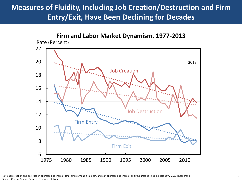## **Measures of Fluidity, Including Job Creation/Destruction and Firm Entry/Exit, Have Been Declining for Decades**

#### Firm Entry Firm Exit Job Creation 2013 Job Destruction  $6 \begin{array}{c} \begin{array}{c} \text{6} \\ \text{1975} \end{array} \end{array}$ 8 10 12 14 16 18 20 22 1975 1980 1985 1990 1995 2000 2005 2010 **Firm and Labor Market Dynamism, 1977-2013** Rate (Percent)

Note: Job creation and destruction expressed as share of total employment; firm entry and exit expressed as share of all firms. Dashed lines indicate 1977-2013 linear trend. Source: Census Bureau, Business Dynamics Statistics.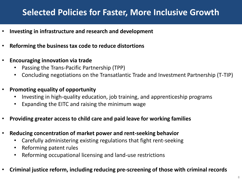## **Selected Policies for Faster, More Inclusive Growth**

- **Investing in infrastructure and research and development**
- **Reforming the business tax code to reduce distortions**
- **Encouraging innovation via trade**
	- Passing the Trans-Pacific Partnership (TPP)
	- Concluding negotiations on the Transatlantic Trade and Investment Partnership (T-TIP)
- **Promoting equality of opportunity**
	- Investing in high-quality education, job training, and apprenticeship programs
	- Expanding the EITC and raising the minimum wage
- **Providing greater access to child care and paid leave for working families**
- **Reducing concentration of market power and rent-seeking behavior**
	- Carefully administering existing regulations that fight rent-seeking
	- Reforming patent rules
	- Reforming occupational licensing and land-use restrictions
- **Criminal justice reform, including reducing pre-screening of those with criminal records**